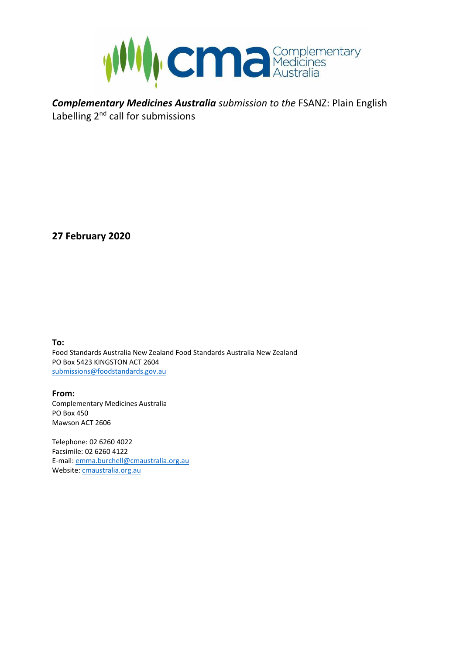

*Complementary Medicines Australia submission to the* FSANZ: Plain English Labelling  $2^{nd}$  call for submissions

**27 February 2020**

**To:**

Food Standards Australia New Zealand Food Standards Australia New Zealand PO Box 5423 KINGSTON ACT 2604 [submissions@foodstandards.gov.au](mailto:submissions@foodstandards.gov.au)

**From:** Complementary Medicines Australia PO Box 450 Mawson ACT 2606

Telephone: 02 6260 4022 Facsimile: 02 6260 4122 E-mail[: emma.burchell@cmaustralia.org.au](mailto:emma.burchell@cmaustralia.org.au) Website[: cmaustralia.org.au](http://www.cmaustralia.org.au/)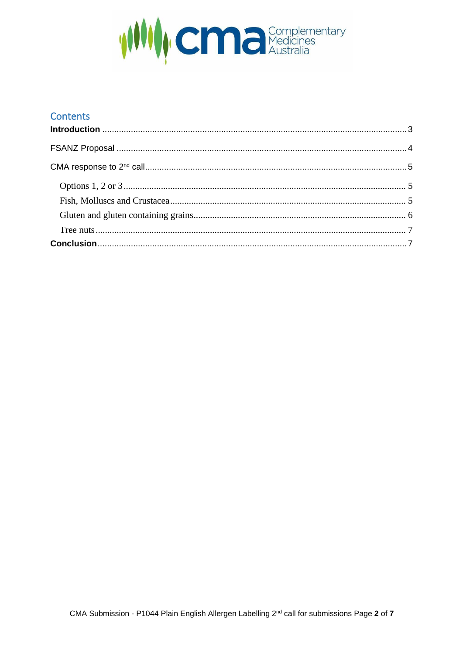

## **Contents**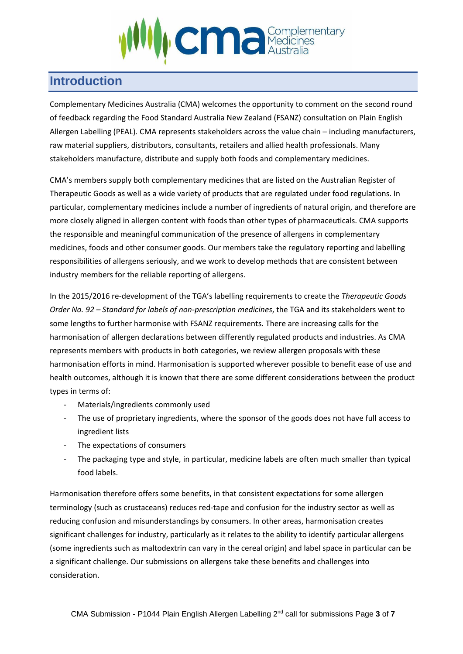

# <span id="page-2-0"></span>**Introduction**

Complementary Medicines Australia (CMA) welcomes the opportunity to comment on the second round of feedback regarding the Food Standard Australia New Zealand (FSANZ) consultation on Plain English Allergen Labelling (PEAL). CMA represents stakeholders across the value chain – including manufacturers, raw material suppliers, distributors, consultants, retailers and allied health professionals. Many stakeholders manufacture, distribute and supply both foods and complementary medicines.

CMA's members supply both complementary medicines that are listed on the Australian Register of Therapeutic Goods as well as a wide variety of products that are regulated under food regulations. In particular, complementary medicines include a number of ingredients of natural origin, and therefore are more closely aligned in allergen content with foods than other types of pharmaceuticals. CMA supports the responsible and meaningful communication of the presence of allergens in complementary medicines, foods and other consumer goods. Our members take the regulatory reporting and labelling responsibilities of allergens seriously, and we work to develop methods that are consistent between industry members for the reliable reporting of allergens.

In the 2015/2016 re-development of the TGA's labelling requirements to create the *Therapeutic Goods Order No. 92 – Standard for labels of non-prescription medicines*, the TGA and its stakeholders went to some lengths to further harmonise with FSANZ requirements. There are increasing calls for the harmonisation of allergen declarations between differently regulated products and industries. As CMA represents members with products in both categories, we review allergen proposals with these harmonisation efforts in mind. Harmonisation is supported wherever possible to benefit ease of use and health outcomes, although it is known that there are some different considerations between the product types in terms of:

- Materials/ingredients commonly used
- The use of proprietary ingredients, where the sponsor of the goods does not have full access to ingredient lists
- The expectations of consumers
- The packaging type and style, in particular, medicine labels are often much smaller than typical food labels.

Harmonisation therefore offers some benefits, in that consistent expectations for some allergen terminology (such as crustaceans) reduces red-tape and confusion for the industry sector as well as reducing confusion and misunderstandings by consumers. In other areas, harmonisation creates significant challenges for industry, particularly as it relates to the ability to identify particular allergens (some ingredients such as maltodextrin can vary in the cereal origin) and label space in particular can be a significant challenge. Our submissions on allergens take these benefits and challenges into consideration.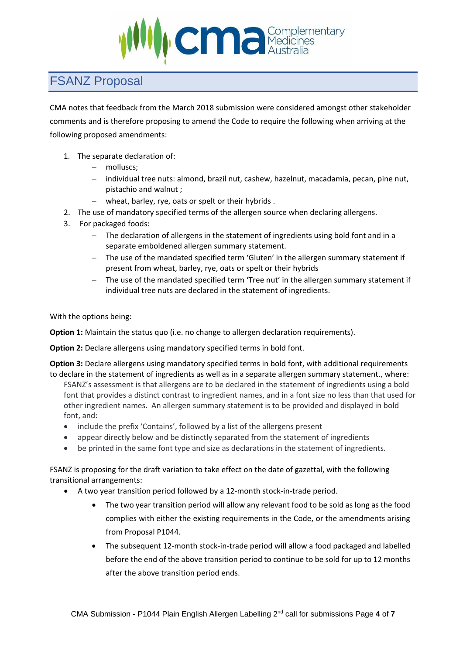

# <span id="page-3-0"></span>FSANZ Proposal

CMA notes that feedback from the March 2018 submission were considered amongst other stakeholder comments and is therefore proposing to amend the Code to require the following when arriving at the following proposed amendments:

- 1. The separate declaration of:
	- − molluscs;
	- − individual tree nuts: almond, brazil nut, cashew, hazelnut, macadamia, pecan, pine nut, pistachio and walnut ;
	- − wheat, barley, rye, oats or spelt or their hybrids .
- 2. The use of mandatory specified terms of the allergen source when declaring allergens.
- 3. For packaged foods:
	- − The declaration of allergens in the statement of ingredients using bold font and in a separate emboldened allergen summary statement.
	- − The use of the mandated specified term 'Gluten' in the allergen summary statement if present from wheat, barley, rye, oats or spelt or their hybrids
	- − The use of the mandated specified term 'Tree nut' in the allergen summary statement if individual tree nuts are declared in the statement of ingredients.

With the options being:

**Option 1:** Maintain the status quo (i.e. no change to allergen declaration requirements).

**Option 2:** Declare allergens using mandatory specified terms in bold font.

**Option 3:** Declare allergens using mandatory specified terms in bold font, with additional requirements to declare in the statement of ingredients as well as in a separate allergen summary statement., where:

FSANZ's assessment is that allergens are to be declared in the statement of ingredients using a bold font that provides a distinct contrast to ingredient names, and in a font size no less than that used for other ingredient names. An allergen summary statement is to be provided and displayed in bold font, and:

- include the prefix 'Contains', followed by a list of the allergens present
- appear directly below and be distinctly separated from the statement of ingredients
- be printed in the same font type and size as declarations in the statement of ingredients.

FSANZ is proposing for the draft variation to take effect on the date of gazettal, with the following transitional arrangements:

- A two year transition period followed by a 12-month stock-in-trade period.
	- The two year transition period will allow any relevant food to be sold as long as the food complies with either the existing requirements in the Code, or the amendments arising from Proposal P1044.
	- The subsequent 12-month stock-in-trade period will allow a food packaged and labelled before the end of the above transition period to continue to be sold for up to 12 months after the above transition period ends.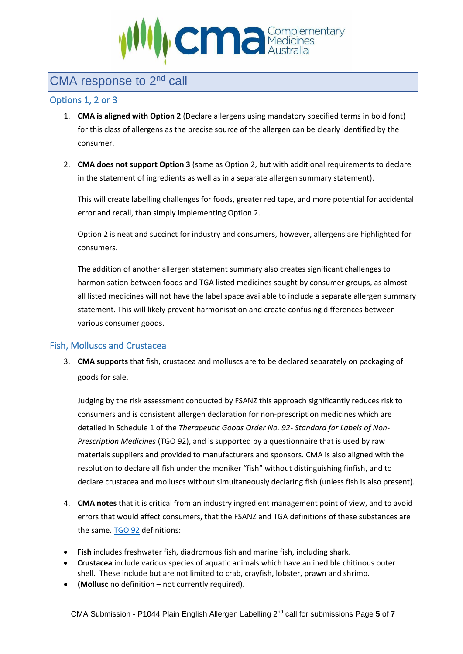

## <span id="page-4-0"></span>CMA response to 2<sup>nd</sup> call

### <span id="page-4-1"></span>Options 1, 2 or 3

- 1. **CMA is aligned with Option 2** (Declare allergens using mandatory specified terms in bold font) for this class of allergens as the precise source of the allergen can be clearly identified by the consumer.
- 2. **CMA does not support Option 3** (same as Option 2, but with additional requirements to declare in the statement of ingredients as well as in a separate allergen summary statement).

This will create labelling challenges for foods, greater red tape, and more potential for accidental error and recall, than simply implementing Option 2.

Option 2 is neat and succinct for industry and consumers, however, allergens are highlighted for consumers.

The addition of another allergen statement summary also creates significant challenges to harmonisation between foods and TGA listed medicines sought by consumer groups, as almost all listed medicines will not have the label space available to include a separate allergen summary statement. This will likely prevent harmonisation and create confusing differences between various consumer goods.

### <span id="page-4-2"></span>Fish, Molluscs and Crustacea

3. **CMA supports** that fish, crustacea and molluscs are to be declared separately on packaging of goods for sale.

Judging by the risk assessment conducted by FSANZ this approach significantly reduces risk to consumers and is consistent allergen declaration for non-prescription medicines which are detailed in Schedule 1 of the *Therapeutic Goods Order No. 92- Standard for Labels of Non-Prescription Medicines* (TGO 92), and is supported by a questionnaire that is used by raw materials suppliers and provided to manufacturers and sponsors. CMA is also aligned with the resolution to declare all fish under the moniker "fish" without distinguishing finfish, and to declare crustacea and molluscs without simultaneously declaring fish (unless fish is also present).

- 4. **CMA notes** that it is critical from an industry ingredient management point of view, and to avoid errors that would affect consumers, that the FSANZ and TGA definitions of these substances are the same. [TGO 92](https://www.legislation.gov.au/Details/F2017C00744) definitions:
- **Fish** includes freshwater fish, diadromous fish and marine fish, including shark.
- **Crustacea** include various species of aquatic animals which have an inedible chitinous outer shell. These include but are not limited to crab, crayfish, lobster, prawn and shrimp.
- **(Mollusc** no definition not currently required).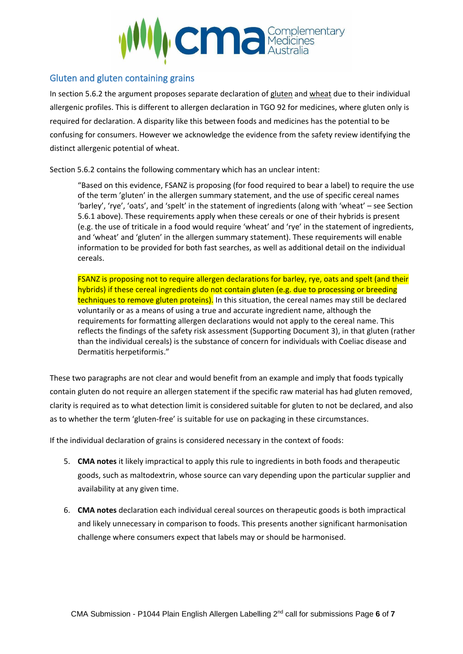

### <span id="page-5-0"></span>Gluten and gluten containing grains

In section 5.6.2 the argument proposes separate declaration of gluten and wheat due to their individual allergenic profiles. This is different to allergen declaration in TGO 92 for medicines, where gluten only is required for declaration. A disparity like this between foods and medicines has the potential to be confusing for consumers. However we acknowledge the evidence from the safety review identifying the distinct allergenic potential of wheat.

Section 5.6.2 contains the following commentary which has an unclear intent:

"Based on this evidence, FSANZ is proposing (for food required to bear a label) to require the use of the term 'gluten' in the allergen summary statement, and the use of specific cereal names 'barley', 'rye', 'oats', and 'spelt' in the statement of ingredients (along with 'wheat' – see Section 5.6.1 above). These requirements apply when these cereals or one of their hybrids is present (e.g. the use of triticale in a food would require 'wheat' and 'rye' in the statement of ingredients, and 'wheat' and 'gluten' in the allergen summary statement). These requirements will enable information to be provided for both fast searches, as well as additional detail on the individual cereals.

FSANZ is proposing not to require allergen declarations for barley, rye, oats and spelt (and their hybrids) if these cereal ingredients do not contain gluten (e.g. due to processing or breeding techniques to remove gluten proteins). In this situation, the cereal names may still be declared voluntarily or as a means of using a true and accurate ingredient name, although the requirements for formatting allergen declarations would not apply to the cereal name. This reflects the findings of the safety risk assessment (Supporting Document 3), in that gluten (rather than the individual cereals) is the substance of concern for individuals with Coeliac disease and Dermatitis herpetiformis."

These two paragraphs are not clear and would benefit from an example and imply that foods typically contain gluten do not require an allergen statement if the specific raw material has had gluten removed, clarity is required as to what detection limit is considered suitable for gluten to not be declared, and also as to whether the term 'gluten-free' is suitable for use on packaging in these circumstances.

If the individual declaration of grains is considered necessary in the context of foods:

- 5. **CMA notes** it likely impractical to apply this rule to ingredients in both foods and therapeutic goods, such as maltodextrin, whose source can vary depending upon the particular supplier and availability at any given time.
- 6. **CMA notes** declaration each individual cereal sources on therapeutic goods is both impractical and likely unnecessary in comparison to foods. This presents another significant harmonisation challenge where consumers expect that labels may or should be harmonised.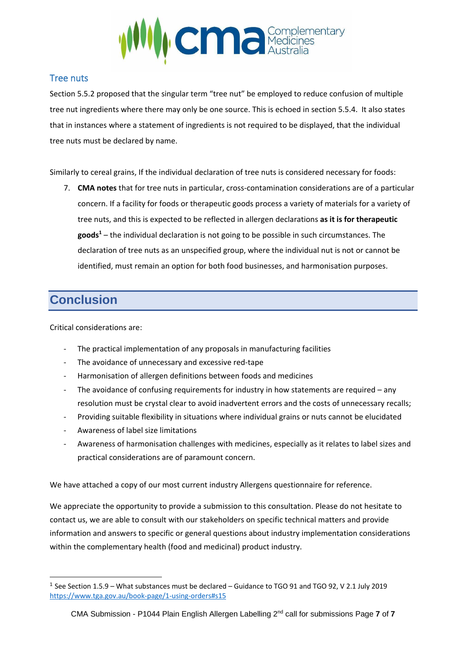

## <span id="page-6-0"></span>Tree nuts

Section 5.5.2 proposed that the singular term "tree nut" be employed to reduce confusion of multiple tree nut ingredients where there may only be one source. This is echoed in section 5.5.4. It also states that in instances where a statement of ingredients is not required to be displayed, that the individual tree nuts must be declared by name.

Similarly to cereal grains, If the individual declaration of tree nuts is considered necessary for foods:

7. **CMA notes** that for tree nuts in particular, cross-contamination considerations are of a particular concern. If a facility for foods or therapeutic goods process a variety of materials for a variety of tree nuts, and this is expected to be reflected in allergen declarations **as it is for therapeutic goods<sup>1</sup>** – the individual declaration is not going to be possible in such circumstances. The declaration of tree nuts as an unspecified group, where the individual nut is not or cannot be identified, must remain an option for both food businesses, and harmonisation purposes.

# <span id="page-6-1"></span>**Conclusion**

Critical considerations are:

- The practical implementation of any proposals in manufacturing facilities
- The avoidance of unnecessary and excessive red-tape
- Harmonisation of allergen definitions between foods and medicines
- The avoidance of confusing requirements for industry in how statements are required any resolution must be crystal clear to avoid inadvertent errors and the costs of unnecessary recalls;
- Providing suitable flexibility in situations where individual grains or nuts cannot be elucidated
- Awareness of label size limitations
- Awareness of harmonisation challenges with medicines, especially as it relates to label sizes and practical considerations are of paramount concern.

We have attached a copy of our most current industry Allergens questionnaire for reference.

We appreciate the opportunity to provide a submission to this consultation. Please do not hesitate to contact us, we are able to consult with our stakeholders on specific technical matters and provide information and answers to specific or general questions about industry implementation considerations within the complementary health (food and medicinal) product industry.

<sup>&</sup>lt;sup>1</sup> See Section 1.5.9 – What substances must be declared – Guidance to TGO 91 and TGO 92, V 2.1 July 2019 <https://www.tga.gov.au/book-page/1-using-orders#s15>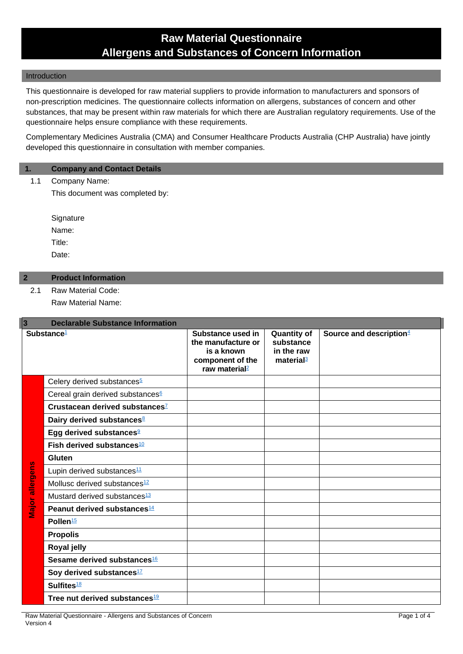## **Raw Material Questionnaire Allergens and Substances of Concern Information**

#### Introduction

This questionnaire is developed for raw material suppliers to provide information to manufacturers and sponsors of non-prescription medicines. The questionnaire collects information on allergens, substances of concern and other substances, that may be present within raw materials for which there are Australian regulatory requirements. Use of the questionnaire helps ensure compliance with these requirements.

Complementary Medicines Australia (CMA) and Consumer Healthcare Products Australia (CHP Australia) have jointly developed this questionnaire in consultation with member companies.

### **1. Company and Contact Details**

1.1 Company Name:

This document was completed by:

**Signature** Name: Title: Date:

### **2 Product Information**

2.1 Raw Material Code:

Raw Material Name:

| $\overline{3}$         | <b>Declarable Substance Information</b>      |                                                                                                        |                                                                        |                                     |  |  |
|------------------------|----------------------------------------------|--------------------------------------------------------------------------------------------------------|------------------------------------------------------------------------|-------------------------------------|--|--|
| Substance <sup>1</sup> |                                              | Substance used in<br>the manufacture or<br>is a known<br>component of the<br>raw material <sup>2</sup> | <b>Quantity of</b><br>substance<br>in the raw<br>material <sup>3</sup> | Source and description <sup>4</sup> |  |  |
|                        | Celery derived substances <sup>5</sup>       |                                                                                                        |                                                                        |                                     |  |  |
|                        | Cereal grain derived substances <sup>6</sup> |                                                                                                        |                                                                        |                                     |  |  |
|                        | Crustacean derived substances <sup>7</sup>   |                                                                                                        |                                                                        |                                     |  |  |
|                        | Dairy derived substances <sup>8</sup>        |                                                                                                        |                                                                        |                                     |  |  |
|                        | Egg derived substances <sup>9</sup>          |                                                                                                        |                                                                        |                                     |  |  |
|                        | Fish derived substances <sup>10</sup>        |                                                                                                        |                                                                        |                                     |  |  |
|                        | Gluten                                       |                                                                                                        |                                                                        |                                     |  |  |
|                        | Lupin derived substances <sup>11</sup>       |                                                                                                        |                                                                        |                                     |  |  |
| allergens              | Mollusc derived substances <sup>12</sup>     |                                                                                                        |                                                                        |                                     |  |  |
|                        | Mustard derived substances <sup>13</sup>     |                                                                                                        |                                                                        |                                     |  |  |
| Major                  | Peanut derived substances <sup>14</sup>      |                                                                                                        |                                                                        |                                     |  |  |
|                        | Pollen <sup>15</sup>                         |                                                                                                        |                                                                        |                                     |  |  |
|                        | <b>Propolis</b>                              |                                                                                                        |                                                                        |                                     |  |  |
|                        | Royal jelly                                  |                                                                                                        |                                                                        |                                     |  |  |
|                        | Sesame derived substances <sup>16</sup>      |                                                                                                        |                                                                        |                                     |  |  |
|                        | Soy derived substances <sup>17</sup>         |                                                                                                        |                                                                        |                                     |  |  |
|                        | Sulfites <sup>18</sup>                       |                                                                                                        |                                                                        |                                     |  |  |
|                        | Tree nut derived substances <sup>19</sup>    |                                                                                                        |                                                                        |                                     |  |  |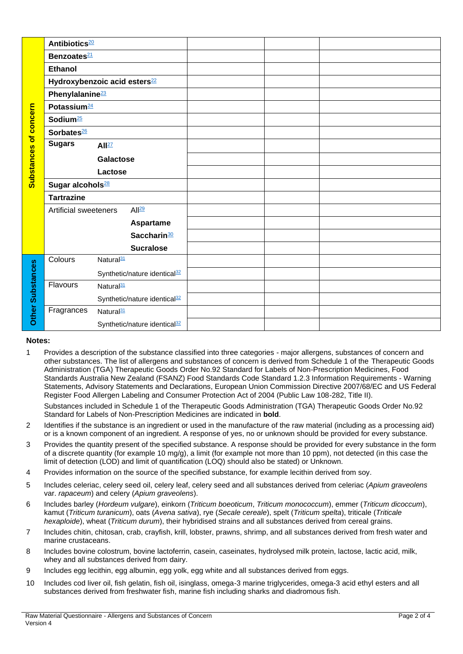|                              | Antibiotics <sup>20</sup>    |                                          |  |
|------------------------------|------------------------------|------------------------------------------|--|
|                              | Benzoates <sup>21</sup>      |                                          |  |
|                              | <b>Ethanol</b>               |                                          |  |
|                              |                              | Hydroxybenzoic acid esters <sup>22</sup> |  |
| <b>Substances of concern</b> | Phenylalanine <sup>23</sup>  |                                          |  |
|                              | Potassium <sup>24</sup>      |                                          |  |
|                              | Sodium <sup>25</sup>         |                                          |  |
|                              | Sorbates <sup>26</sup>       |                                          |  |
|                              | <b>Sugars</b>                | All <sup>27</sup>                        |  |
|                              |                              | <b>Galactose</b>                         |  |
|                              |                              | Lactose                                  |  |
|                              | Sugar alcohols <sup>28</sup> |                                          |  |
|                              | <b>Tartrazine</b>            |                                          |  |
|                              | <b>Artificial sweeteners</b> | All <sup>29</sup>                        |  |
|                              |                              | <b>Aspartame</b>                         |  |
|                              |                              | Saccharin <sup>30</sup>                  |  |
|                              |                              | <b>Sucralose</b>                         |  |
|                              | Colours                      | Natural <sup>31</sup>                    |  |
|                              |                              | Synthetic/nature identical <sup>32</sup> |  |
|                              | Flavours                     | Natural <sup>31</sup>                    |  |
| <b>Other Substances</b>      |                              | Synthetic/nature identical <sup>32</sup> |  |
|                              | Fragrances                   | Natural <sup>31</sup>                    |  |
|                              |                              | Synthetic/nature identical <sup>32</sup> |  |

#### **Notes:**

<span id="page-8-0"></span>1 Provides a description of the substance classified into three categories - major allergens, substances of concern and other substances. The list of allergens and substances of concern is derived from Schedule 1 of the Therapeutic Goods Administration (TGA) Therapeutic Goods Order No.92 Standard for Labels of Non-Prescription Medicines, Food Standards Australia New Zealand (FSANZ) Food Standards Code Standard 1.2.3 Information Requirements - Warning Statements, Advisory Statements and Declarations, European Union Commission Directive 2007/68/EC and US Federal Register Food Allergen Labeling and Consumer Protection Act of 2004 (Public Law 108-282, Title II).

Substances included in Schedule 1 of the Therapeutic Goods Administration (TGA) Therapeutic Goods Order No.92 Standard for Labels of Non-Prescription Medicines are indicated in **bold**.

- <span id="page-8-1"></span>2 Identifies if the substance is an ingredient or used in the manufacture of the raw material (including as a processing aid) or is a known component of an ingredient. A response of yes, no or unknown should be provided for every substance.
- <span id="page-8-2"></span>3 Provides the quantity present of the specified substance. A response should be provided for every substance in the form of a discrete quantity (for example 10 mg/g), a limit (for example not more than 10 ppm), not detected (in this case the limit of detection (LOD) and limit of quantification (LOQ) should also be stated) or Unknown.
- <span id="page-8-3"></span>4 Provides information on the source of the specified substance, for example lecithin derived from soy.
- <span id="page-8-4"></span>5 Includes celeriac, celery seed oil, celery leaf, celery seed and all substances derived from celeriac (*Apium graveolens* var. *rapaceum*) and celery (*Apium graveolens*).
- <span id="page-8-5"></span>6 Includes barley (*Hordeum vulgare*), einkorn (*Triticum boeoticum*, *Triticum monococcum*), emmer (*Triticum dicoccum*), kamut (*Triticum turanicum*), oats (*Avena sativa*), rye (*Secale cereale*), spelt (*Triticum spelta*), triticale (*Triticale hexaploide*), wheat (*Triticum durum*), their hybridised strains and all substances derived from cereal grains.
- <span id="page-8-6"></span>7 Includes chitin, chitosan, crab, crayfish, krill, lobster, prawns, shrimp, and all substances derived from fresh water and marine crustaceans.
- <span id="page-8-7"></span>8 Includes bovine colostrum, bovine lactoferrin, casein, caseinates, hydrolysed milk protein, lactose, lactic acid, milk, whey and all substances derived from dairy.
- <span id="page-8-8"></span>9 Includes egg lecithin, egg albumin, egg yolk, egg white and all substances derived from eggs.
- <span id="page-8-9"></span>10 Includes cod liver oil, fish gelatin, fish oil, isinglass, omega-3 marine triglycerides, omega-3 acid ethyl esters and all substances derived from freshwater fish, marine fish including sharks and diadromous fish.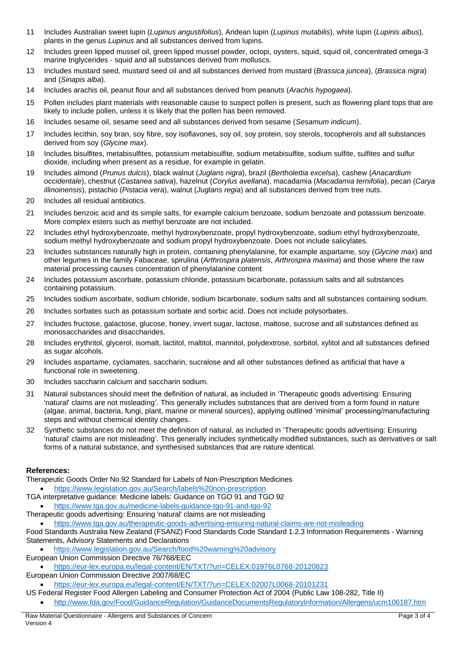- <span id="page-9-0"></span>11 Includes Australian sweet lupin (*Lupinus angustifolius*), Andean lupin (*Lupinus mutabilis*), white lupin (*Lupinis albus*), plants in the genus *Lupinus* and all substances derived from lupins.
- <span id="page-9-1"></span>12 Includes green lipped mussel oil, green lipped mussel powder, octopi, oysters, squid, squid oil, concentrated omega-3 marine triglycerides - squid and all substances derived from molluscs.
- <span id="page-9-2"></span>13 Includes mustard seed, mustard seed oil and all substances derived from mustard (*Brassica juncea*), (*Brassica nigra*) and (*Sinapis alba*).
- <span id="page-9-3"></span>14 Includes arachis oil, peanut flour and all substances derived from peanuts (*Arachis hypogaea*).
- <span id="page-9-4"></span>15 Pollen includes plant materials with reasonable cause to suspect pollen is present, such as flowering plant tops that are likely to include pollen, unless it is likely that the pollen has been removed.
- <span id="page-9-5"></span>16 Includes sesame oil, sesame seed and all substances derived from sesame (*Sesamum indicum*).
- <span id="page-9-6"></span>17 Includes lecithin, soy bran, soy fibre, soy isoflavones, soy oil, soy protein, soy sterols, tocopherols and all substances derived from soy (*Glycine max*).
- <span id="page-9-7"></span>18 Includes bisulfites, metabisulfites, potassium metabisulfite, sodium metabisulfite, sodium sulfite, sulfites and sulfur dioxide, including when present as a residue, for example in gelatin.
- <span id="page-9-8"></span>19 Includes almond (*Prunus dulcis*), black walnut (*Juglans nigra*), brazil (*Bertholettia excelsa*), cashew (*Anacardium occidentale*), chestnut (*Castanea sativa*), hazelnut (*Corylus avellana*), macadamia (*Macadamia ternifolia*), pecan (*Carya illinoinensis*), pistachio (*Pistacia vera*), walnut (*Juglans regia*) and all substances derived from tree nuts.
- <span id="page-9-9"></span>20 Includes all residual antibiotics.
- <span id="page-9-10"></span>21 Includes benzoic acid and its simple salts, for example calcium benzoate, sodium benzoate and potassium benzoate. More complex esters such as methyl benzoate are not included.
- <span id="page-9-11"></span>22 Includes ethyl hydroxybenzoate, methyl hydroxybenzoate, propyl hydroxybenzoate, sodium ethyl hydroxybenzoate, sodium methyl hydroxybenzoate and sodium propyl hydroxybenzoate. Does not include salicylates.
- <span id="page-9-12"></span>23 Includes substances naturally high in protein, containing phenylalanine, for example aspartame, soy (*Glycine max*) and other legumes in the family Fabaceae, spirulina (*Arthrospira platensis*, *Arthrospira maxima*) and those where the raw material processing causes concentration of phenylalanine content
- <span id="page-9-13"></span>24 Includes potassium ascorbate, potassium chloride, potassium bicarbonate, potassium salts and all substances containing potassium.
- <span id="page-9-14"></span>25 Includes sodium ascorbate, sodium chloride, sodium bicarbonate, sodium salts and all substances containing sodium.
- <span id="page-9-15"></span>26 Includes sorbates such as potassium sorbate and sorbic acid. Does not include polysorbates.
- <span id="page-9-16"></span>27 Includes fructose, galactose, glucose, honey, invert sugar, lactose, maltose, sucrose and all substances defined as monosaccharides and disaccharides.
- <span id="page-9-17"></span>28 Includes erythritol, glycerol, isomalt, lactitol, maltitol, mannitol, polydextrose, sorbitol, xylitol and all substances defined as sugar alcohols.
- <span id="page-9-18"></span>29 Includes aspartame, cyclamates, saccharin, sucralose and all other substances defined as artificial that have a functional role in sweetening.
- <span id="page-9-19"></span>30 Includes saccharin calcium and saccharin sodium.
- <span id="page-9-20"></span>31 Natural substances should meet the definition of natural, as included in 'Therapeutic goods advertising: Ensuring 'natural' claims are not misleading'. This generally includes substances that are derived from a form found in nature (algae, animal, bacteria, fungi, plant, marine or mineral sources), applying outlined 'minimal' processing/manufacturing steps and without chemical identity changes.
- <span id="page-9-21"></span>32 Synthetic substances do not meet the definition of natural, as included in 'Therapeutic goods advertising: Ensuring 'natural' claims are not misleading'. This generally includes synthetically modified substances, such as derivatives or salt forms of a natural substance, and synthesised substances that are nature identical.

#### **References:**

Therapeutic Goods Order No.92 Standard for Labels of Non-Prescription Medicines

- <https://www.legislation.gov.au/Search/labels%20non-prescription>
- TGA interpretative guidance: Medicine labels: Guidance on TGO 91 and TGO 92
- <https://www.tga.gov.au/medicine-labels-guidance-tgo-91-and-tgo-92>
- Therapeutic goods advertising: Ensuring 'natural' claims are not misleading

• <https://www.tga.gov.au/therapeutic-goods-advertising-ensuring-natural-claims-are-not-misleading>

Food Standards Australia New Zealand (FSANZ) Food Standards Code Standard 1.2.3 Information Requirements - Warning Statements, Advisory Statements and Declarations

- <https://www.legislation.gov.au/Search/food%20warning%20advisory>
- European Union Commission Directive 76/768/EEC
- <https://eur-lex.europa.eu/legal-content/EN/TXT/?uri=CELEX:01976L0768-20120823> European Union Commission Directive 2007/68/EC

• <https://eur-lex.europa.eu/legal-content/EN/TXT/?uri=CELEX:02007L0068-20101231>

- US Federal Register Food Allergen Labeling and Consumer Protection Act of 2004 (Public Law 108-282, Title II)
	- <http://www.fda.gov/Food/GuidanceRegulation/GuidanceDocumentsRegulatoryInformation/Allergens/ucm106187.htm>